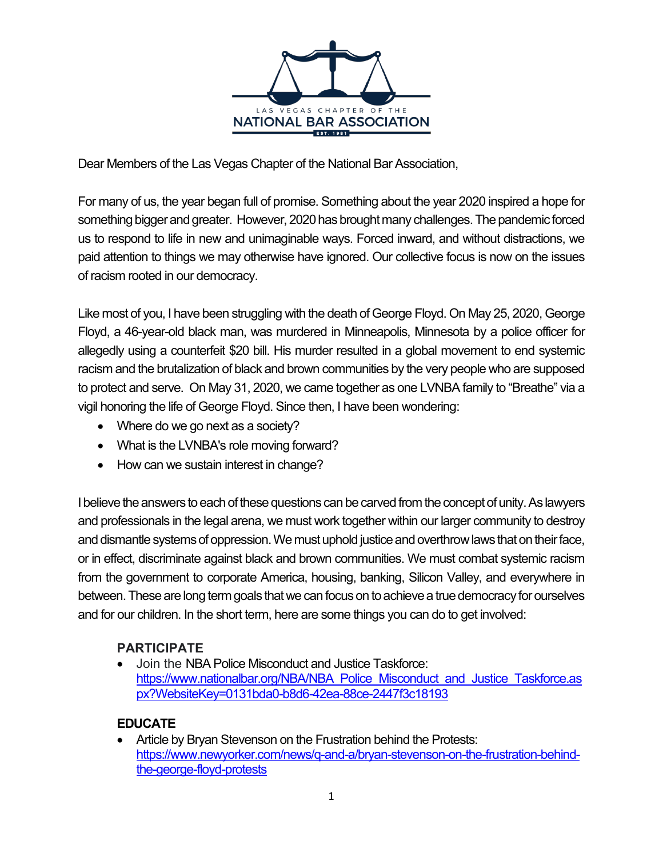

Dear Members of the Las Vegas Chapter of the National Bar Association,

For many of us, the year began full of promise. Something about the year 2020 inspired a hope for something bigger and greater. However, 2020 has brought many challenges. The pandemic forced us to respond to life in new and unimaginable ways. Forced inward, and without distractions, we paid attention to things we may otherwise have ignored. Our collective focus is now on the issues of racism rooted in our democracy.

Like most of you, I have been struggling with the death of George Floyd. On May 25, 2020, George Floyd, a 46-year-old black man, was murdered in Minneapolis, Minnesota by a police officer for allegedly using a counterfeit \$20 bill. His murder resulted in a global movement to end systemic racism and the brutalization of black and brown communities by the very people who are supposed to protect and serve. On May 31, 2020, we came together as one LVNBA family to "Breathe" via a vigil honoring the life of George Floyd. Since then, I have been wondering:

- Where do we go next as a society?
- What is the LVNBA's role moving forward?
- How can we sustain interest in change?

I believe the answers to each of these questions can be carved from the concept of unity. As lawyers and professionals in the legal arena, we must work together within our larger community to destroy and dismantle systems of oppression. We must uphold justice and overthrow laws that on their face, or in effect, discriminate against black and brown communities. We must combat systemic racism from the government to corporate America, housing, banking, Silicon Valley, and everywhere in between. These are long term goals that we can focus on to achieve a true democracy for ourselves and for our children. In the short term, here are some things you can do to get involved:

## **PARTICIPATE**

• Join the NBA Police Misconduct and Justice Taskforce: https://www.nationalbar.org/NBA/NBA\_Police\_Misconduct\_and\_Justice\_Taskforce.as px?WebsiteKey=0131bda0-b8d6-42ea-88ce-2447f3c18193

## **EDUCATE**

• Article by Bryan Stevenson on the Frustration behind the Protests: https://www.newyorker.com/news/q-and-a/bryan-stevenson-on-the-frustration-behindthe-george-floyd-protests